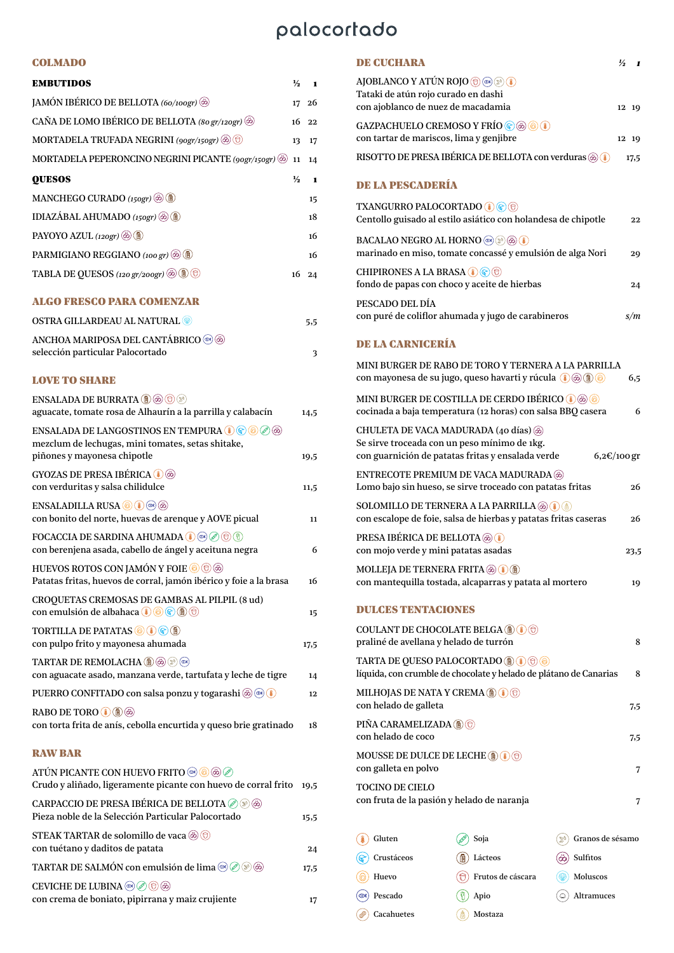## palocortado

#### COLMADO

| <b>EMBUTIDOS</b>                                                                                                                                                            | $\frac{1}{2}$ | 1    |
|-----------------------------------------------------------------------------------------------------------------------------------------------------------------------------|---------------|------|
| JAMÓN IBÉRICO DE BELLOTA (60/100gr)                                                                                                                                         | 17            | 26   |
| CAÑA DE LOMO IBÉRICO DE BELLOTA (80 gr/120gr) (2)                                                                                                                           | 16            | 22   |
| MORTADELA TRUFADA NEGRINI (90gr/150gr) @ O                                                                                                                                  | 13            | 17   |
| MORTADELA PEPERONCINO NEGRINI PICANTE (90gr/150gr) (@)                                                                                                                      | 11            | 14   |
| <b>QUESOS</b>                                                                                                                                                               | $\frac{1}{2}$ | 1    |
| MANCHEGO CURADO (150gr) (2)                                                                                                                                                 |               | 15   |
| IDIAZÁBAL AHUMADO (150gr) @ 1                                                                                                                                               |               | 18   |
| PAYOYO AZUL (120gr) (@)                                                                                                                                                     |               | 16   |
| PARMIGIANO REGGIANO (100 gr) (あ) (                                                                                                                                          |               | 16   |
| <b>TABLA DE QUESOS</b> (120 gr/200gr) (@) (D)                                                                                                                               | 16            | 24   |
| <b>ALGO FRESCO PARA COMENZAR</b>                                                                                                                                            |               |      |
| <b>OSTRA GILLARDEAU AL NATURAL </b>                                                                                                                                         |               | 5,5  |
| ANCHOA MARIPOSA DEL CANTÁBRICO (10)<br>selección particular Palocortado                                                                                                     |               | 3    |
| <b>LOVE TO SHARE</b>                                                                                                                                                        |               |      |
| $\textbf{ENSALADA DE BURRATA} @ @ @ @ @\\$<br>aguacate, tomate rosa de Alhaurín a la parrilla y calabacín                                                                   |               | 14,5 |
| ENSALADA DE LANGOSTINOS EN TEMPURA (1) (2) (6) (2) (6)<br>mezclum de lechugas, mini tomates, setas shitake,<br>piñones y mayonesa chipotle                                  |               | 19,5 |
| GYOZAS DE PRESA IBÉRICA (1) @                                                                                                                                               |               |      |
| con verduritas y salsa chilidulce                                                                                                                                           |               | 11,5 |
| ENSALADILLA RUSA ( ( 4 (3 (3)<br>con bonito del norte, huevas de arenque y AOVE picual                                                                                      |               | 11   |
| FOCACCIA DE SARDINA AHUMADA <b>(a)</b> $\otimes$ $\otimes$ $\oplus$ $\oplus$<br>con berenjena asada, cabello de ángel y aceituna negra                                      |               | 6    |
| HUEVOS ROTOS CON JAMÓN Y FOIE O O @<br>Patatas fritas, huevos de corral, jamón ibérico y foie a la brasa                                                                    |               | 16   |
| CROQUETAS CREMOSAS DE GAMBAS AL PILPIL (8 ud)<br>con emulsión de albahaca ( $\textcircled{\textcircled{\tiny\circledast}}$ ( $\textcircled{\textcircled{\tiny\circledast}}$ |               |      |
| <b>TORTILLA DE PATATAS OUGE</b>                                                                                                                                             |               | 15   |
| con pulpo frito y mayonesa ahumada                                                                                                                                          |               | 17,5 |
| <b>TARTAR DE REMOLACHA <b>D</b> <math>\otimes</math> <math>\otimes</math></b><br>con aguacate asado, manzana verde, tartufata y leche de tigre                              |               | 14   |
| PUERRO CONFITADO con salsa ponzu y togarashi @ .                                                                                                                            |               | 12   |
| RABO DE TORO <sup>1</sup> <sup>1</sup><br>con torta frita de anís, cebolla encurtida y queso brie gratinado                                                                 |               | 18   |
| <b>RAW BAR</b>                                                                                                                                                              |               |      |
| Crudo y aliñado, ligeramente picante con huevo de corral frito                                                                                                              |               | 19,5 |
| <b>CARPACCIO DE PRESA IBÉRICA DE BELLOTA</b> 2 8 6<br>Pieza noble de la Selección Particular Palocortado                                                                    |               | 15,5 |
| STEAK TARTAR de solomillo de vaca @ 0<br>con tuétano y daditos de patata                                                                                                    |               | 24   |
| TARTAR DE SALMÓN con emulsión de lima (®) (2) (8)                                                                                                                           |               | 17,5 |
| CEVICHE DE LUBINA ◎ ⊘ <del>⊙</del> ⊛                                                                                                                                        |               |      |

con crema de boniato, pipirrana y maiz crujiente 17

| PESCADO DEL DÍA<br>con puré de coliflor ahumada y jugo de carabineros                                                                          |                  | s/m  |
|------------------------------------------------------------------------------------------------------------------------------------------------|------------------|------|
| <b>DE LA CARNICERÍA</b>                                                                                                                        |                  |      |
| MINI BURGER DE RABO DE TORO Y TERNERA A LA PARRILLA<br>con mayonesa de su jugo, queso havarti y rúcula ( $\circledast \circledast \circledast$ |                  | 6,5  |
| MINI BURGER DE COSTILLA DE CERDO IBÉRICO (1) @ (0)<br>cocinada a baja temperatura (12 horas) con salsa BBQ casera                              |                  | 6    |
| CHULETA DE VACA MADURADA (40 días) (20)<br>Se sirve troceada con un peso mínimo de 1kg.<br>con guarnición de patatas fritas y ensalada verde   | 6,2€/100 gr      |      |
| ENTRECOTE PREMIUM DE VACA MADURADA (26)<br>Lomo bajo sin hueso, se sirve troceado con patatas fritas                                           |                  | 26   |
| SOLOMILLO DE TERNERA A LA PARRILLA (¿) ( #) ( #)<br>con escalope de foie, salsa de hierbas y patatas fritas caseras                            |                  | 26   |
| <b>PRESA IBÉRICA DE BELLOTA</b><br>con mojo verde y mini patatas asadas                                                                        |                  | 23,5 |
| <b>MOLLEJA DE TERNERA FRITA</b> (z) (1) (1)<br>con mantequilla tostada, alcaparras y patata al mortero                                         |                  | 19   |
| <b>DULOBS TENTAGIONES</b>                                                                                                                      |                  |      |
| <b>COULANT DE CHOCOLATE BELGA</b> (1) (1) (6)<br>praliné de avellana y helado de turrón                                                        |                  | 8    |
| TARTA DE QUESO PALOCORTADO (D) (D) ©<br>líquida, con crumble de chocolate y helado de plátano de Canarias                                      |                  | 8    |
| <b>MILHOJAS DE NATA Y CREMA (B) (\$) (t)</b><br>con helado de galleta                                                                          |                  | 7,5  |
| <b>PINA CARAMELIZADA</b> (A)(t)<br>con helado de coco                                                                                          |                  | 7,5  |
| MOUSSE DE DULCE DE LECHE ( $\mathbf{B}$ ) ( $\mathbf{\hat{\theta}}$ ) ( $\mathbf{\hat{\theta}}$ )<br>con galleta en polvo                      |                  | 7    |
| <b>TOCINO DE CIELO</b><br>con fruta de la pasión y helado de naranja                                                                           |                  | 7    |
| 畠<br>Gluten<br>Soja<br>$\tilde{\mathscr{D}}_{\varnothing}$                                                                                     | Granos de sésamo |      |

| Gluten<br>凲                                         | Soja              | Granos de sésamo<br>೫ |
|-----------------------------------------------------|-------------------|-----------------------|
| Crustáceos                                          | 尙<br>Lácteos      | Sulfitos              |
| Huevo                                               | Frutos de cáscara | Moluscos              |
| Pescado<br>$(\circledast\hspace{-.15cm}\mathbb{R})$ | Apio              | Altramuces            |
| Cacahuetes                                          | Mostaza           |                       |

### DE CUCHARA *½ 1*

con ajoblanco de nuez de macadamia 12 19

con tartar de mariscos, lima y genjibre 12 19 RISOTTO DE PRESA IBÉRICA DE BELLOTA con verduras  $\circledast$  (17,5

Centollo guisado al estilo asiático con holandesa de chipotle 22

marinado en miso, tomate concassé y emulsión de alga Nori 29

fondo de papas con choco y aceite de hierbas 24

AJOBLANCO Y ATÚN ROJO to to to to the Tataki de atún rojo curado en dashi

TXANGURRO PALOCORTADO (1)

BACALAO NEGRO AL HORNO  $\circledast$   $\circledast$   $\circledast$ 

CHIPIRONES A LA BRASA $\textcircled{\textcircled{\tiny{\#}}}\circledcirc$ 

DE LA PESCADERÍA

GAZPACHUELO CREMOSO Y FRÍO $\textcircled{\textcircled{\tiny{\#}}}\textcircled{\textcircled{\tiny{\#}}}$